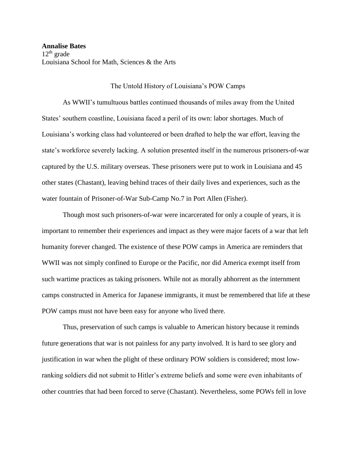## The Untold History of Louisiana's POW Camps

As WWII's tumultuous battles continued thousands of miles away from the United States' southern coastline, Louisiana faced a peril of its own: labor shortages. Much of Louisiana's working class had volunteered or been drafted to help the war effort, leaving the state's workforce severely lacking. A solution presented itself in the numerous prisoners-of-war captured by the U.S. military overseas. These prisoners were put to work in Louisiana and 45 other states (Chastant), leaving behind traces of their daily lives and experiences, such as the water fountain of Prisoner-of-War Sub-Camp No.7 in Port Allen (Fisher).

Though most such prisoners-of-war were incarcerated for only a couple of years, it is important to remember their experiences and impact as they were major facets of a war that left humanity forever changed. The existence of these POW camps in America are reminders that WWII was not simply confined to Europe or the Pacific, nor did America exempt itself from such wartime practices as taking prisoners. While not as morally abhorrent as the internment camps constructed in America for Japanese immigrants, it must be remembered that life at these POW camps must not have been easy for anyone who lived there.

Thus, preservation of such camps is valuable to American history because it reminds future generations that war is not painless for any party involved. It is hard to see glory and justification in war when the plight of these ordinary POW soldiers is considered; most lowranking soldiers did not submit to Hitler's extreme beliefs and some were even inhabitants of other countries that had been forced to serve (Chastant). Nevertheless, some POWs fell in love